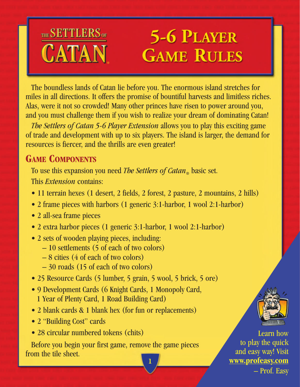## THE SETTLERS OF **5-6 PLAYER** CATAN **GAME RULES**

The boundless lands of Catan lie before you. The enormous island stretches for miles in all directions. It offers the promise of bountiful harvests and limitless riches. Alas, were it not so crowded! Many other princes have risen to power around you, and you must challenge them if you wish to realize your dream of dominating Catan!

*The Settlers of Catan 5-6 Player Extension* allows you to play this exciting game of trade and development with up to six players. The island is larger, the demand for resources is fiercer, and the thrills are even greater!

## **GAME COMPONENTS**

To use this expansion you need *The Settlers of Catan*<sub>®</sub> basic set. This *Extension* contains:

- 11 terrain hexes (1 desert, 2 fields, 2 forest, 2 pasture, 2 mountains, 2 hills)
- 2 frame pieces with harbors (1 generic 3:1-harbor, 1 wool 2:1-harbor)
- 2 all-sea frame pieces
- 2 extra harbor pieces (1 generic 3:1-harbor, 1 wool 2:1-harbor)
- 2 sets of wooden playing pieces, including:
	- 10 settlements (5 of each of two colors)
	- 8 cities (4 of each of two colors)
	- $-30$  roads (15 of each of two colors)
- 25 Resource Cards (5 lumber, 5 grain, 5 wool, 5 brick, 5 ore)
- 9 Development Cards (6 Knight Cards, 1 Monopoly Card, 1 Year of Plenty Card, 1 Road Building Card)
- 2 blank cards & 1 blank hex (for fun or replacements)
- 2 "Building Cost" cards
- 28 circular numbered tokens (chits)

Before you begin your first game, remove the game pieces from the tile sheet. **1**



Learn how to play the quick and easy way! Visit **www.profeasy.com** – Prof. Easy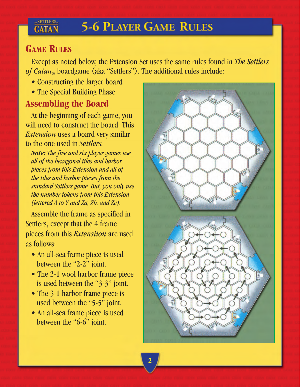## **5-6 PLAYER GAME RULES**

### **GAME RULES**

SETTLERS.

**CATAN** 

Except as noted below, the Extension Set uses the same rules found in *The Settlers* of *Catan*<sub>®</sub> boardgame (aka "Settlers"). The additional rules include:

- Constructing the larger board
- The Special Building Phase

## **Assembling the Board**

At the beginning of each game, you will need to construct the board. This *Extension* uses a board very similar to the one used in *Settlers.*

*Note: The five and six player games use all of the hexagonal tiles and harbor pieces from this Extension and all of the tiles and harbor pieces from the standard Settlers game. But, you only use the number tokens from this Extension (lettered A to Y and Za, Zb, and Zc).*

Assemble the frame as specified in Settlers, except that the 4 frame pieces from this *Extensiion* are used as follows:

- An all-sea frame piece is used between the "2-2" joint.
- The 2-1 wool harbor frame piece is used between the "3-3" joint.
- The 3-1 harbor frame piece is used between the "5-5" joint.
- An all-sea frame piece is used between the "6-6" joint.

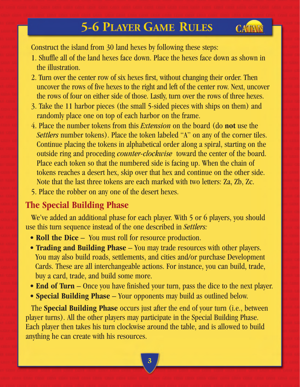# **5-6 PLAYER GAME RULES**

CATAI

Construct the island from 30 land hexes by following these steps:

- 1. Shuffle all of the land hexes face down. Place the hexes face down as shown in the illustration.
- 2. Turn over the center row of six hexes first, without changing their order. Then uncover the rows of five hexes to the right and left of the center row. Next, uncover the rows of four on either side of those. Lastly, turn over the rows of three hexes.
- 3. Take the 11 harbor pieces (the small 5-sided pieces with ships on them) and randomly place one on top of each harbor on the frame.
- 4. Place the number tokens from this *Extension* on the board (do **not** use the *Settlers* number tokens). Place the token labeled "A" on any of the corner tiles. Continue placing the tokens in alphabetical order along a spiral, starting on the outside ring and proceding *counter-clockwise* toward the center of the board. Place each token so that the numbered side is facing up. When the chain of tokens reaches a desert hex, skip over that hex and continue on the other side. Note that the last three tokens are each marked with two letters: Za, Zb, Zc.
- 5. Place the robber on any one of the desert hexes.

### **The Special Building Phase**

We've added an additional phase for each player. With 5 or 6 players, you should use this turn sequence instead of the one described in *Settlers:*

- **Roll the Dice** You must roll for resource production.
- **Trading and Building Phase** You may trade resources with other players. You may also build roads, settlements, and cities and/or purchase Development Cards. These are all interchangeable actions. For instance, you can build, trade, buy a card, trade, and build some more.
- **End of Turn** Once you have finished your turn, pass the dice to the next player.
- **Special Building Phase** Your opponents may build as outlined below.

The **Special Building Phase** occurs just after the end of your turn (i.e., between player turns). All the other players may participate in the Special Building Phase. Each player then takes his turn clockwise around the table, and is allowed to build anything he can create with his resources.